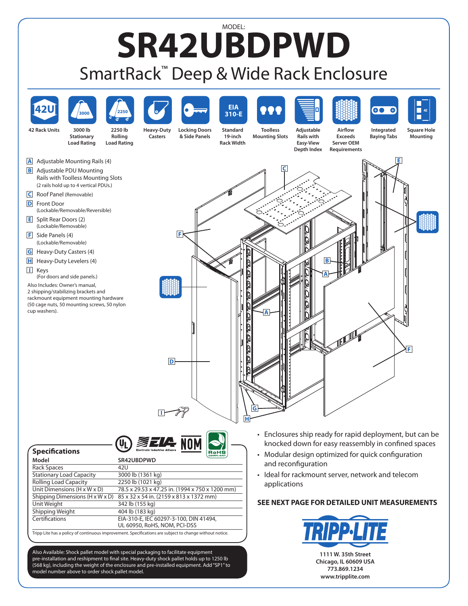## MODEL: **SR42UBDPWD** SmartRack™ Deep & Wide Rack Enclosure





Also Available: Shock pallet model with special packaging to facilitate equipment pre-installation and reshipment to final site. Heavy-duty shock pallet holds up to 1250 lb (568 kg), including the weight of the enclosure and pre-installed equipment. Add"SP1"to model number above to order shock pallet model.

**Chicago, IL 60609 USA 773.869.1234 www.tripplite.com**

**1111 W. 35th Street**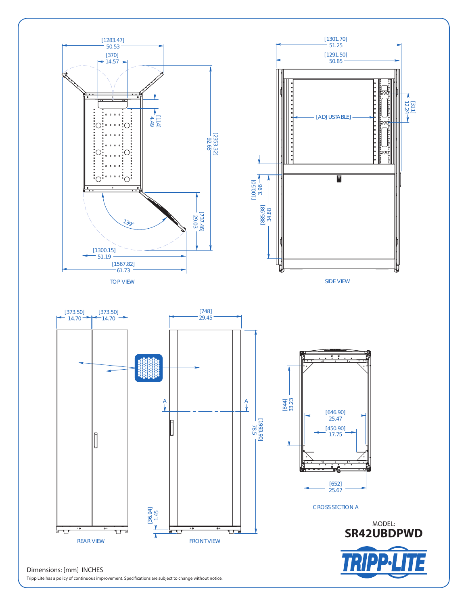